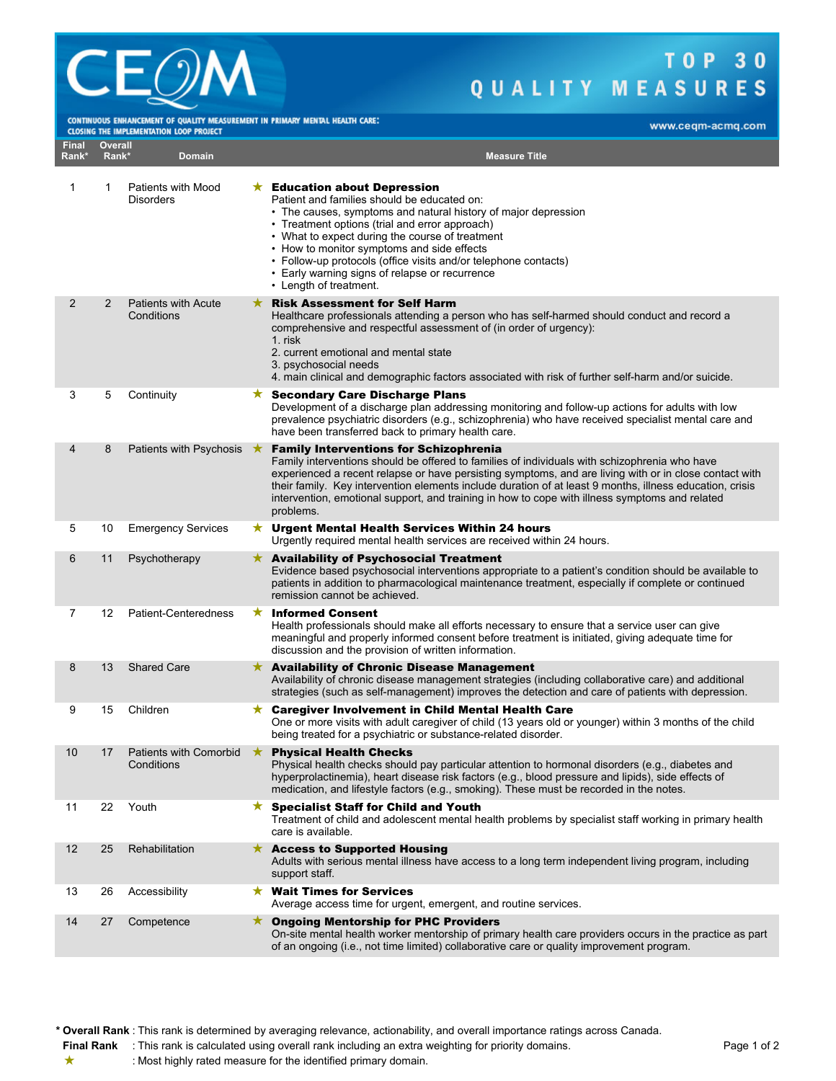

## TOP 30 QUALITY MEASURES

CONTINUOUS ENHANCEMENT OF QUALITY MEASUREMENT IN PRIMARY MENTAL HEALTH CARE:

| <b>CLOSING THE IMPLEMENTATION LOOP PROJECT</b> |                  |                                               |         |                                                                                                                                                                                                                                                                                                                                                                                                                                                                                     |
|------------------------------------------------|------------------|-----------------------------------------------|---------|-------------------------------------------------------------------------------------------------------------------------------------------------------------------------------------------------------------------------------------------------------------------------------------------------------------------------------------------------------------------------------------------------------------------------------------------------------------------------------------|
| <b>Final</b><br>Rank*                          | Overall<br>Rank* | Domain                                        |         | <b>Measure Title</b>                                                                                                                                                                                                                                                                                                                                                                                                                                                                |
| 1                                              | 1                | <b>Patients with Mood</b><br><b>Disorders</b> |         | $\star$ Education about Depression<br>Patient and families should be educated on:<br>• The causes, symptoms and natural history of major depression<br>• Treatment options (trial and error approach)<br>• What to expect during the course of treatment<br>• How to monitor symptoms and side effects<br>• Follow-up protocols (office visits and/or telephone contacts)<br>• Early warning signs of relapse or recurrence<br>• Length of treatment.                               |
| 2                                              | 2                | <b>Patients with Acute</b><br>Conditions      |         | <b>Risk Assessment for Self Harm</b><br>Healthcare professionals attending a person who has self-harmed should conduct and record a<br>comprehensive and respectful assessment of (in order of urgency):<br>1. risk<br>2. current emotional and mental state<br>3. psychosocial needs<br>4. main clinical and demographic factors associated with risk of further self-harm and/or suicide.                                                                                         |
| 3                                              | 5                | Continuity                                    |         | ★ Secondary Care Discharge Plans<br>Development of a discharge plan addressing monitoring and follow-up actions for adults with low<br>prevalence psychiatric disorders (e.g., schizophrenia) who have received specialist mental care and<br>have been transferred back to primary health care.                                                                                                                                                                                    |
| 4                                              | 8                | Patients with Psychosis                       | ★       | <b>Family Interventions for Schizophrenia</b><br>Family interventions should be offered to families of individuals with schizophrenia who have<br>experienced a recent relapse or have persisting symptoms, and are living with or in close contact with<br>their family. Key intervention elements include duration of at least 9 months, illness education, crisis<br>intervention, emotional support, and training in how to cope with illness symptoms and related<br>problems. |
| 5                                              | 10               | <b>Emergency Services</b>                     |         | $\star$ Urgent Mental Health Services Within 24 hours<br>Urgently required mental health services are received within 24 hours.                                                                                                                                                                                                                                                                                                                                                     |
| 6                                              | 11               | Psychotherapy                                 |         | $\star$ Availability of Psychosocial Treatment<br>Evidence based psychosocial interventions appropriate to a patient's condition should be available to<br>patients in addition to pharmacological maintenance treatment, especially if complete or continued<br>remission cannot be achieved.                                                                                                                                                                                      |
| 7                                              | 12               | Patient-Centeredness                          | ★       | <b>Informed Consent</b><br>Health professionals should make all efforts necessary to ensure that a service user can give<br>meaningful and properly informed consent before treatment is initiated, giving adequate time for<br>discussion and the provision of written information.                                                                                                                                                                                                |
| 8                                              | 13               | <b>Shared Care</b>                            |         | $\star$ Availability of Chronic Disease Management<br>Availability of chronic disease management strategies (including collaborative care) and additional<br>strategies (such as self-management) improves the detection and care of patients with depression.                                                                                                                                                                                                                      |
| 9                                              | 15               | Children                                      | $\star$ | <b>Caregiver Involvement in Child Mental Health Care</b><br>One or more visits with adult caregiver of child (13 years old or younger) within 3 months of the child<br>being treated for a psychiatric or substance-related disorder.                                                                                                                                                                                                                                               |
| 10                                             | 17               | Patients with Comorbid<br>Conditions          | ★       | <b>Physical Health Checks</b><br>Physical health checks should pay particular attention to hormonal disorders (e.g., diabetes and<br>hyperprolactinemia), heart disease risk factors (e.g., blood pressure and lipids), side effects of<br>medication, and lifestyle factors (e.g., smoking). These must be recorded in the notes.                                                                                                                                                  |
| 11                                             | 22               | Youth                                         |         | $\star$ Specialist Staff for Child and Youth<br>Treatment of child and adolescent mental health problems by specialist staff working in primary health<br>care is available.                                                                                                                                                                                                                                                                                                        |
| 12                                             | 25               | Rehabilitation                                |         | $\star$ Access to Supported Housing<br>Adults with serious mental illness have access to a long term independent living program, including<br>support staff.                                                                                                                                                                                                                                                                                                                        |
| 13                                             | 26               | Accessibility                                 |         | $\star$ Wait Times for Services<br>Average access time for urgent, emergent, and routine services.                                                                                                                                                                                                                                                                                                                                                                                  |
| 14                                             | 27               | Competence                                    |         | ★ Ongoing Mentorship for PHC Providers<br>On-site mental health worker mentorship of primary health care providers occurs in the practice as part<br>of an ongoing (i.e., not time limited) collaborative care or quality improvement program.                                                                                                                                                                                                                                      |

**\* Overall Rank** : This rank is determined by averaging relevance, actionability, and overall importance ratings across Canada.

**Final Rank** : This rank is calculated using overall rank including an extra weighting for priority domains. Page 1 of 2